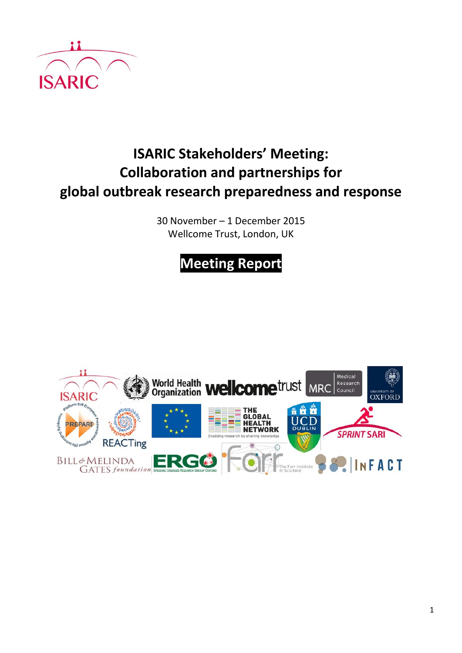

# **ISARIC Stakeholders' Meeting: Collaboration and partnerships for global outbreak research preparedness and response**

30 November – 1 December 2015 Wellcome Trust, London, UK

# **Meeting Report**

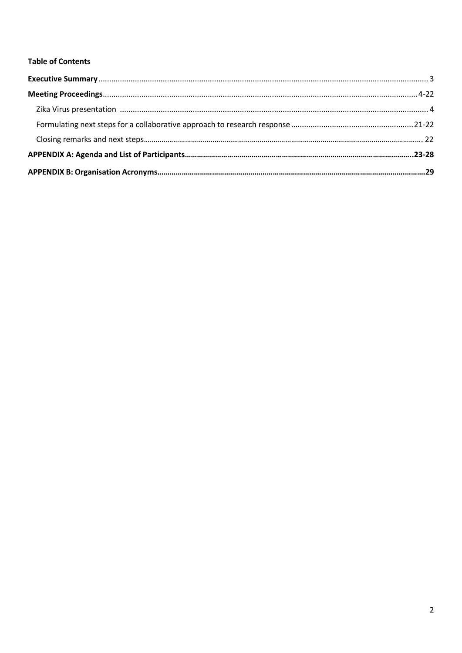#### **Table of Contents**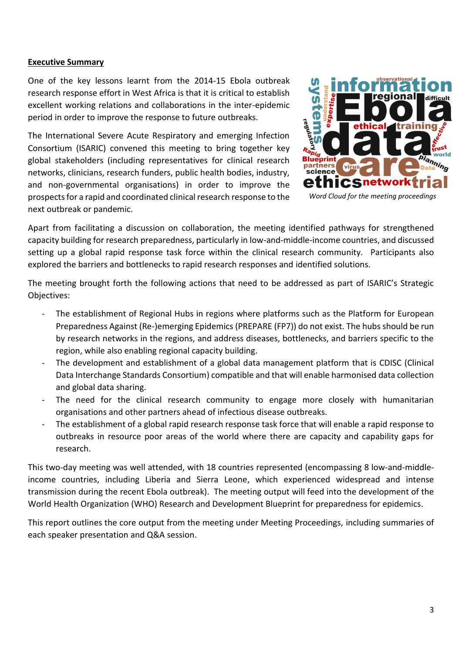#### **Executive Summary**

One of the key lessons learnt from the 2014-15 Ebola outbreak research response effort in West Africa is that it is critical to establish excellent working relations and collaborations in the inter-epidemic period in order to improve the response to future outbreaks.

The International Severe Acute Respiratory and emerging Infection Consortium (ISARIC) convened this meeting to bring together key global stakeholders (including representatives for clinical research networks, clinicians, research funders, public health bodies, industry, and non-governmental organisations) in order to improve the prospects for a rapid and coordinated clinical research response to the next outbreak or pandemic.



*Word Cloud for the meeting proceedings*

Apart from facilitating a discussion on collaboration, the meeting identified pathways for strengthened capacity building for research preparedness, particularly in low-and-middle-income countries, and discussed setting up a global rapid response task force within the clinical research community. Participants also explored the barriers and bottlenecks to rapid research responses and identified solutions.

The meeting brought forth the following actions that need to be addressed as part of ISARIC's Strategic Objectives:

- The establishment of Regional Hubs in regions where platforms such as the Platform for European Preparedness Against (Re-)emerging Epidemics (PREPARE (FP7)) do not exist. The hubs should be run by research networks in the regions, and address diseases, bottlenecks, and barriers specific to the region, while also enabling regional capacity building.
- The development and establishment of a global data management platform that is CDISC (Clinical Data Interchange Standards Consortium) compatible and that will enable harmonised data collection and global data sharing.
- The need for the clinical research community to engage more closely with humanitarian organisations and other partners ahead of infectious disease outbreaks.
- The establishment of a global rapid research response task force that will enable a rapid response to outbreaks in resource poor areas of the world where there are capacity and capability gaps for research.

This two-day meeting was well attended, with 18 countries represented (encompassing 8 low-and-middleincome countries, including Liberia and Sierra Leone, which experienced widespread and intense transmission during the recent Ebola outbreak). The meeting output will feed into the development of the World Health Organization (WHO) Research and Development Blueprint for preparedness for epidemics.

This report outlines the core output from the meeting under Meeting Proceedings, including summaries of each speaker presentation and Q&A session.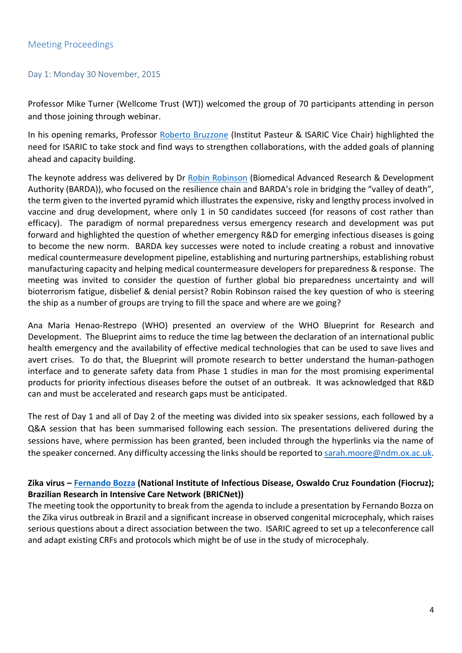#### Day 1: Monday 30 November, 2015

Professor Mike Turner (Wellcome Trust (WT)) welcomed the group of 70 participants attending in person and those joining through webinar.

In his opening remarks, Professor [Roberto Bruzzone](https://isaric.tghn.org/site_media/media/medialibrary/2015/12/Roberto_Bruzzone_Institut_Pasteur.pdf) (Institut Pasteur & ISARIC Vice Chair) highlighted the need for ISARIC to take stock and find ways to strengthen collaborations, with the added goals of planning ahead and capacity building.

The keynote address was delivered by Dr [Robin Robinson](https://isaric.tghn.org/site_media/media/medialibrary/2015/12/Robin_Robinson_BARDA.pdf) (Biomedical Advanced Research & Development Authority (BARDA)), who focused on the resilience chain and BARDA's role in bridging the "valley of death", the term given to the inverted pyramid which illustrates the expensive, risky and lengthy process involved in vaccine and drug development, where only 1 in 50 candidates succeed (for reasons of cost rather than efficacy). The paradigm of normal preparedness versus emergency research and development was put forward and highlighted the question of whether emergency R&D for emerging infectious diseases is going to become the new norm. BARDA key successes were noted to include creating a robust and innovative medical countermeasure development pipeline, establishing and nurturing partnerships, establishing robust manufacturing capacity and helping medical countermeasure developers for preparedness & response. The meeting was invited to consider the question of further global bio preparedness uncertainty and will bioterrorism fatigue, disbelief & denial persist? Robin Robinson raised the key question of who is steering the ship as a number of groups are trying to fill the space and where are we going?

Ana Maria Henao-Restrepo (WHO) presented an overview of the WHO Blueprint for Research and Development. The Blueprint aims to reduce the time lag between the declaration of an international public health emergency and the availability of effective medical technologies that can be used to save lives and avert crises. To do that, the Blueprint will promote research to better understand the human-pathogen interface and to generate safety data from Phase 1 studies in man for the most promising experimental products for priority infectious diseases before the outset of an outbreak. It was acknowledged that R&D can and must be accelerated and research gaps must be anticipated.

The rest of Day 1 and all of Day 2 of the meeting was divided into six speaker sessions, each followed by a Q&A session that has been summarised following each session. The presentations delivered during the sessions have, where permission has been granted, been included through the hyperlinks via the name of the speaker concerned. Any difficulty accessing the links should be reported to [sarah.moore@ndm.ox.ac.uk.](mailto:sarah.moore@ndm.ox.ac.uk)

#### **Zika virus – [Fernando Bozza](https://isaric.tghn.org/site_media/media/medialibrary/2015/12/Fernando_Bozza_FIOCRUZ.pdf) (National Institute of Infectious Disease, Oswaldo Cruz Foundation (Fiocruz); Brazilian Research in Intensive Care Network (BRICNet))**

The meeting took the opportunity to break from the agenda to include a presentation by Fernando Bozza on the Zika virus outbreak in Brazil and a significant increase in observed congenital microcephaly, which raises serious questions about a direct association between the two. ISARIC agreed to set up a teleconference call and adapt existing CRFs and protocols which might be of use in the study of microcephaly.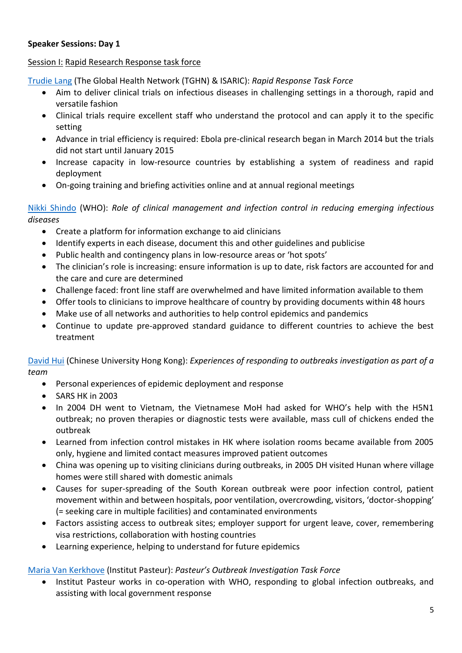# **Speaker Sessions: Day 1**

#### Session I: Rapid Research Response task force

[Trudie Lang](https://isaric.tghn.org/site_media/media/medialibrary/2015/12/Trudie_Lang_TGHN__ISARIC.pdf) (The Global Health Network (TGHN) & ISARIC): *Rapid Response Task Force*

- Aim to deliver clinical trials on infectious diseases in challenging settings in a thorough, rapid and versatile fashion
- Clinical trials require excellent staff who understand the protocol and can apply it to the specific setting
- Advance in trial efficiency is required: Ebola pre-clinical research began in March 2014 but the trials did not start until January 2015
- Increase capacity in low-resource countries by establishing a system of readiness and rapid deployment
- On-going training and briefing activities online and at annual regional meetings

#### [Nikki Shindo](https://isaric.tghn.org/site_media/media/medialibrary/2016/05/Nikki_Shindo_WHO.pdf) (WHO): *Role of clinical management and infection control in reducing emerging infectious diseases*

- Create a platform for information exchange to aid clinicians
- $\bullet$  Identify experts in each disease, document this and other guidelines and publicise
- Public health and contingency plans in low-resource areas or 'hot spots'
- The clinician's role is increasing: ensure information is up to date, risk factors are accounted for and the care and cure are determined
- Challenge faced: front line staff are overwhelmed and have limited information available to them
- Offer tools to clinicians to improve healthcare of country by providing documents within 48 hours
- Make use of all networks and authorities to help control epidemics and pandemics
- Continue to update pre-approved standard guidance to different countries to achieve the best treatment

[David Hui](https://isaric.tghn.org/site_media/media/medialibrary/2015/12/David_Hui_Chinese_University_of_Hong_Kong.pdf) (Chinese University Hong Kong): *Experiences of responding to outbreaks investigation as part of a team*

- Personal experiences of epidemic deployment and response
- $\bullet$  SARS HK in 2003
- In 2004 DH went to Vietnam, the Vietnamese MoH had asked for WHO's help with the H5N1 outbreak; no proven therapies or diagnostic tests were available, mass cull of chickens ended the outbreak
- Learned from infection control mistakes in HK where isolation rooms became available from 2005 only, hygiene and limited contact measures improved patient outcomes
- China was opening up to visiting clinicians during outbreaks, in 2005 DH visited Hunan where village homes were still shared with domestic animals
- Causes for super-spreading of the South Korean outbreak were poor infection control, patient movement within and between hospitals, poor ventilation, overcrowding, visitors, 'doctor-shopping' (= seeking care in multiple facilities) and contaminated environments
- Factors assisting access to outbreak sites; employer support for urgent leave, cover, remembering visa restrictions, collaboration with hosting countries
- Learning experience, helping to understand for future epidemics

#### [Maria Van Kerkhove](https://isaric.tghn.org/site_media/media/medialibrary/2015/12/Maria_Van_Kerkhove_Institut_Pasteur.pdf) (Institut Pasteur): *Pasteur's Outbreak Investigation Task Force*

Institut Pasteur works in co-operation with WHO, responding to global infection outbreaks, and assisting with local government response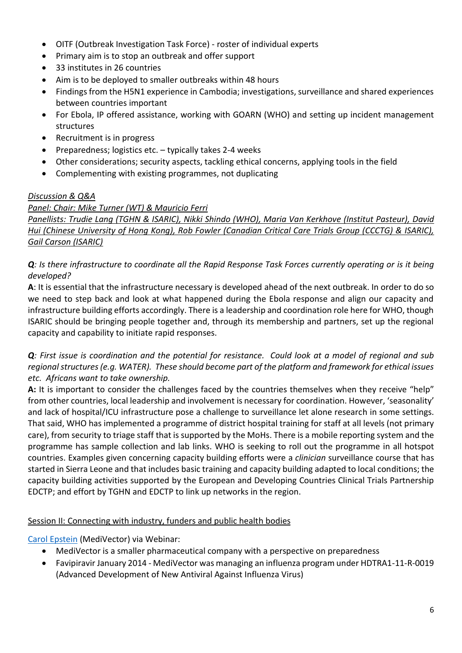- OITF (Outbreak Investigation Task Force) roster of individual experts
- Primary aim is to stop an outbreak and offer support
- $\bullet$  33 institutes in 26 countries
- Aim is to be deployed to smaller outbreaks within 48 hours
- Findings from the H5N1 experience in Cambodia; investigations, surveillance and shared experiences between countries important
- For Ebola, IP offered assistance, working with GOARN (WHO) and setting up incident management structures
- Recruitment is in progress
- Preparedness; logistics etc.  $-$  typically takes 2-4 weeks
- Other considerations; security aspects, tackling ethical concerns, applying tools in the field
- Complementing with existing programmes, not duplicating

#### *Discussion & Q&A*

# *Panel: Chair: Mike Turner (WT) & Mauricio Ferri*

*Panellists: Trudie Lang (TGHN & ISARIC), Nikki Shindo (WHO), Maria Van Kerkhove (Institut Pasteur), David Hui (Chinese University of Hong Kong), Rob Fowler (Canadian Critical Care Trials Group (CCCTG) & ISARIC), Gail Carson (ISARIC)*

# *Q: Is there infrastructure to coordinate all the Rapid Response Task Forces currently operating or is it being developed?*

**A**: It is essential that the infrastructure necessary is developed ahead of the next outbreak. In order to do so we need to step back and look at what happened during the Ebola response and align our capacity and infrastructure building efforts accordingly. There is a leadership and coordination role here for WHO, though ISARIC should be bringing people together and, through its membership and partners, set up the regional capacity and capability to initiate rapid responses.

*Q: First issue is coordination and the potential for resistance. Could look at a model of regional and sub regional structures (e.g. WATER). These should become part of the platform and framework for ethical issues etc. Africans want to take ownership.*

**A:** It is important to consider the challenges faced by the countries themselves when they receive "help" from other countries, local leadership and involvement is necessary for coordination. However, 'seasonality' and lack of hospital/ICU infrastructure pose a challenge to surveillance let alone research in some settings. That said, WHO has implemented a programme of district hospital training for staff at all levels (not primary care), from security to triage staff that is supported by the MoHs. There is a mobile reporting system and the programme has sample collection and lab links. WHO is seeking to roll out the programme in all hotspot countries. Examples given concerning capacity building efforts were a *clinician* surveillance course that has started in Sierra Leone and that includes basic training and capacity building adapted to local conditions; the capacity building activities supported by the European and Developing Countries Clinical Trials Partnership EDCTP; and effort by TGHN and EDCTP to link up networks in the region.

#### Session II: Connecting with industry, funders and public health bodies

[Carol Epstein](https://isaric.tghn.org/site_media/media/medialibrary/2016/05/Carol_Epstein_MediVector.pdf) (MediVector) via Webinar:

- MediVector is a smaller pharmaceutical company with a perspective on preparedness
- Favipiravir January 2014 MediVector was managing an influenza program under HDTRA1-11-R-0019 (Advanced Development of New Antiviral Against Influenza Virus)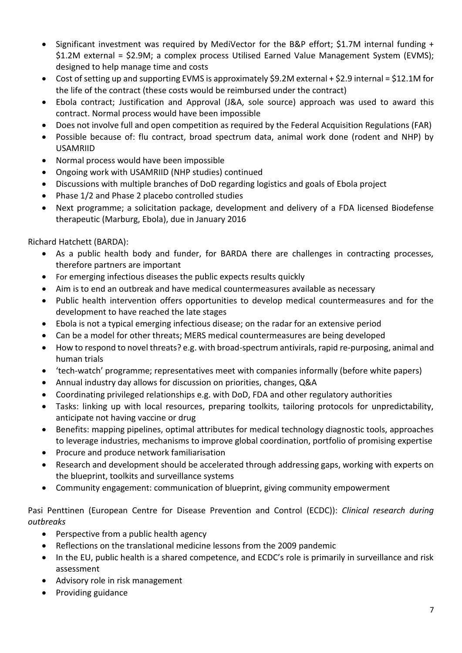- Significant investment was required by MediVector for the B&P effort; \$1.7M internal funding + \$1.2M external = \$2.9M; a complex process Utilised Earned Value Management System (EVMS); designed to help manage time and costs
- Cost of setting up and supporting EVMS is approximately \$9.2M external + \$2.9 internal = \$12.1M for the life of the contract (these costs would be reimbursed under the contract)
- Ebola contract; Justification and Approval (J&A, sole source) approach was used to award this contract. Normal process would have been impossible
- Does not involve full and open competition as required by the Federal Acquisition Regulations (FAR)
- Possible because of: flu contract, broad spectrum data, animal work done (rodent and NHP) by USAMRIID
- Normal process would have been impossible
- Ongoing work with USAMRIID (NHP studies) continued
- Discussions with multiple branches of DoD regarding logistics and goals of Ebola project
- Phase 1/2 and Phase 2 placebo controlled studies
- Next programme; a solicitation package, development and delivery of a FDA licensed Biodefense therapeutic (Marburg, Ebola), due in January 2016

Richard Hatchett (BARDA):

- As a public health body and funder, for BARDA there are challenges in contracting processes, therefore partners are important
- For emerging infectious diseases the public expects results quickly
- Aim is to end an outbreak and have medical countermeasures available as necessary
- Public health intervention offers opportunities to develop medical countermeasures and for the development to have reached the late stages
- Ebola is not a typical emerging infectious disease; on the radar for an extensive period
- Can be a model for other threats; MERS medical countermeasures are being developed
- How to respond to novel threats? e.g. with broad-spectrum antivirals, rapid re-purposing, animal and human trials
- 'tech-watch' programme; representatives meet with companies informally (before white papers)
- Annual industry day allows for discussion on priorities, changes, Q&A
- Coordinating privileged relationships e.g. with DoD, FDA and other regulatory authorities
- Tasks: linking up with local resources, preparing toolkits, tailoring protocols for unpredictability, anticipate not having vaccine or drug
- Benefits: mapping pipelines, optimal attributes for medical technology diagnostic tools, approaches to leverage industries, mechanisms to improve global coordination, portfolio of promising expertise
- Procure and produce network familiarisation
- Research and development should be accelerated through addressing gaps, working with experts on the blueprint, toolkits and surveillance systems
- Community engagement: communication of blueprint, giving community empowerment

Pasi Penttinen (European Centre for Disease Prevention and Control (ECDC)): *Clinical research during outbreaks*

- Perspective from a public health agency
- Reflections on the translational medicine lessons from the 2009 pandemic
- In the EU, public health is a shared competence, and ECDC's role is primarily in surveillance and risk assessment
- Advisory role in risk management
- $\bullet$  Providing guidance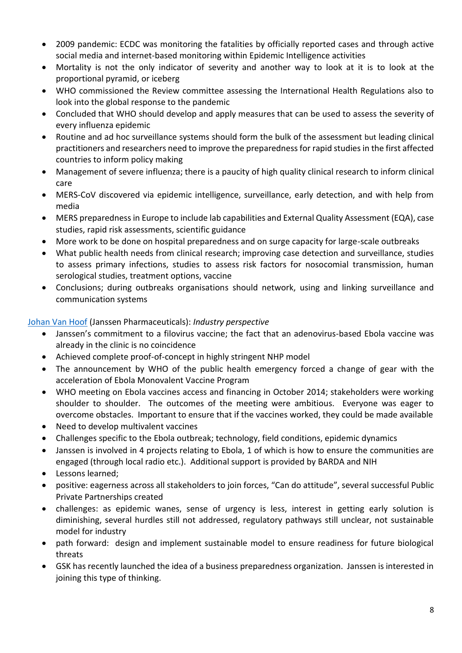- 2009 pandemic: ECDC was monitoring the fatalities by officially reported cases and through active social media and internet-based monitoring within Epidemic Intelligence activities
- Mortality is not the only indicator of severity and another way to look at it is to look at the proportional pyramid, or iceberg
- WHO commissioned the Review committee assessing the International Health Regulations also to look into the global response to the pandemic
- Concluded that WHO should develop and apply measures that can be used to assess the severity of every influenza epidemic
- Routine and ad hoc surveillance systems should form the bulk of the assessment but leading clinical practitioners and researchers need to improve the preparedness for rapid studies in the first affected countries to inform policy making
- Management of severe influenza; there is a paucity of high quality clinical research to inform clinical care
- MERS-CoV discovered via epidemic intelligence, surveillance, early detection, and with help from media
- MERS preparedness in Europe to include lab capabilities and External Quality Assessment (EQA), case studies, rapid risk assessments, scientific guidance
- More work to be done on hospital preparedness and on surge capacity for large-scale outbreaks
- What public health needs from clinical research; improving case detection and surveillance, studies to assess primary infections, studies to assess risk factors for nosocomial transmission, human serological studies, treatment options, vaccine
- Conclusions; during outbreaks organisations should network, using and linking surveillance and communication systems

# [Johan Van Hoof](https://isaric.tghn.org/site_media/media/medialibrary/2016/05/Johan_Van_Hoof_Janssen.pdf) (Janssen Pharmaceuticals): *Industry perspective*

- Janssen's commitment to a filovirus vaccine; the fact that an adenovirus-based Ebola vaccine was already in the clinic is no coincidence
- Achieved complete proof-of-concept in highly stringent NHP model
- The announcement by WHO of the public health emergency forced a change of gear with the acceleration of Ebola Monovalent Vaccine Program
- WHO meeting on Ebola vaccines access and financing in October 2014; stakeholders were working shoulder to shoulder. The outcomes of the meeting were ambitious. Everyone was eager to overcome obstacles. Important to ensure that if the vaccines worked, they could be made available
- Need to develop multivalent vaccines
- Challenges specific to the Ebola outbreak; technology, field conditions, epidemic dynamics
- Janssen is involved in 4 projects relating to Ebola, 1 of which is how to ensure the communities are engaged (through local radio etc.). Additional support is provided by BARDA and NIH
- Lessons learned:
- positive: eagerness across all stakeholders to join forces, "Can do attitude", several successful Public Private Partnerships created
- challenges: as epidemic wanes, sense of urgency is less, interest in getting early solution is diminishing, several hurdles still not addressed, regulatory pathways still unclear, not sustainable model for industry
- path forward: design and implement sustainable model to ensure readiness for future biological threats
- GSK has recently launched the idea of a business preparedness organization. Janssen is interested in joining this type of thinking.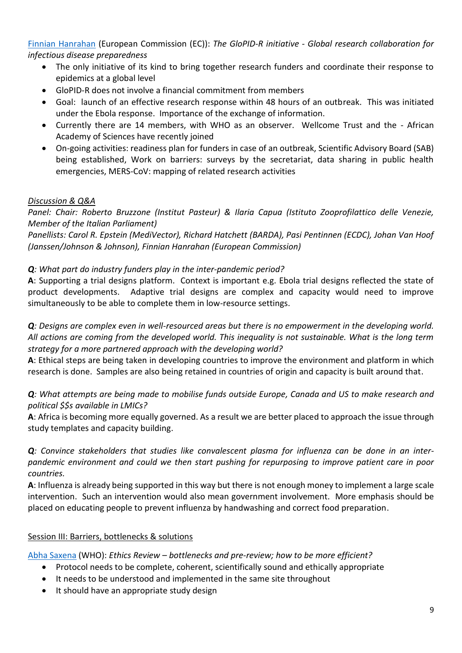[Finnian Hanrahan](https://isaric.tghn.org/site_media/media/medialibrary/2015/12/Finnian_Hanrahan_European_Commission.pdf) (European Commission (EC)): *The GloPID-R initiative - Global research collaboration for infectious disease preparedness*

- The only initiative of its kind to bring together research funders and coordinate their response to epidemics at a global level
- GloPID-R does not involve a financial commitment from members
- Goal: launch of an effective research response within 48 hours of an outbreak. This was initiated under the Ebola response. Importance of the exchange of information.
- Currently there are 14 members, with WHO as an observer. Wellcome Trust and the African Academy of Sciences have recently joined
- On-going activities: readiness plan for funders in case of an outbreak, Scientific Advisory Board (SAB) being established, Work on barriers: surveys by the secretariat, data sharing in public health emergencies, MERS-CoV: mapping of related research activities

# *Discussion & Q&A*

*Panel: Chair: Roberto Bruzzone (Institut Pasteur) & Ilaria Capua (Istituto Zooprofilattico delle Venezie, Member of the Italian Parliament)*

*Panellists: Carol R. Epstein (MediVector), Richard Hatchett (BARDA), Pasi Pentinnen (ECDC), Johan Van Hoof (Janssen/Johnson & Johnson), Finnian Hanrahan (European Commission)*

# *Q: What part do industry funders play in the inter-pandemic period?*

**A**: Supporting a trial designs platform. Context is important e.g. Ebola trial designs reflected the state of product developments. Adaptive trial designs are complex and capacity would need to improve simultaneously to be able to complete them in low-resource settings.

*Q: Designs are complex even in well-resourced areas but there is no empowerment in the developing world. All actions are coming from the developed world. This inequality is not sustainable. What is the long term strategy for a more partnered approach with the developing world?*

**A**: Ethical steps are being taken in developing countries to improve the environment and platform in which research is done. Samples are also being retained in countries of origin and capacity is built around that.

*Q: What attempts are being made to mobilise funds outside Europe, Canada and US to make research and political \$\$s available in LMICs?*

**A**: Africa is becoming more equally governed. As a result we are better placed to approach the issue through study templates and capacity building.

*Q: Convince stakeholders that studies like convalescent plasma for influenza can be done in an interpandemic environment and could we then start pushing for repurposing to improve patient care in poor countries.*

**A**: Influenza is already being supported in this way but there is not enough money to implement a large scale intervention. Such an intervention would also mean government involvement. More emphasis should be placed on educating people to prevent influenza by handwashing and correct food preparation.

#### Session III: Barriers, bottlenecks & solutions

[Abha Saxena](https://isaric.tghn.org/site_media/media/medialibrary/2016/05/Abha_Saxena_WHO.pdf) (WHO): *Ethics Review – bottlenecks and pre-review; how to be more efficient?*

- Protocol needs to be complete, coherent, scientifically sound and ethically appropriate
- It needs to be understood and implemented in the same site throughout
- It should have an appropriate study design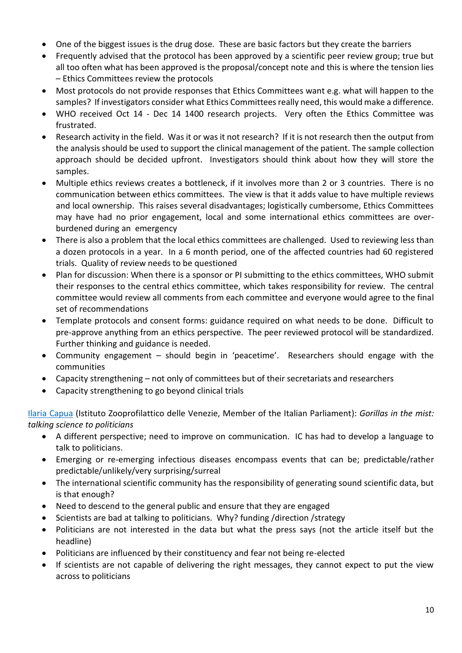- One of the biggest issues is the drug dose. These are basic factors but they create the barriers
- Frequently advised that the protocol has been approved by a scientific peer review group; true but all too often what has been approved is the proposal/concept note and this is where the tension lies – Ethics Committees review the protocols
- Most protocols do not provide responses that Ethics Committees want e.g. what will happen to the samples? If investigators consider what Ethics Committees really need, this would make a difference.
- WHO received Oct 14 Dec 14 1400 research projects. Very often the Ethics Committee was frustrated.
- Research activity in the field. Was it or was it not research? If it is not research then the output from the analysis should be used to support the clinical management of the patient. The sample collection approach should be decided upfront. Investigators should think about how they will store the samples.
- Multiple ethics reviews creates a bottleneck, if it involves more than 2 or 3 countries. There is no communication between ethics committees. The view is that it adds value to have multiple reviews and local ownership. This raises several disadvantages; logistically cumbersome, Ethics Committees may have had no prior engagement, local and some international ethics committees are overburdened during an emergency
- There is also a problem that the local ethics committees are challenged. Used to reviewing less than a dozen protocols in a year. In a 6 month period, one of the affected countries had 60 registered trials. Quality of review needs to be questioned
- Plan for discussion: When there is a sponsor or PI submitting to the ethics committees, WHO submit their responses to the central ethics committee, which takes responsibility for review. The central committee would review all comments from each committee and everyone would agree to the final set of recommendations
- Template protocols and consent forms: guidance required on what needs to be done. Difficult to pre-approve anything from an ethics perspective. The peer reviewed protocol will be standardized. Further thinking and guidance is needed.
- Community engagement should begin in 'peacetime'. Researchers should engage with the communities
- Capacity strengthening not only of committees but of their secretariats and researchers
- Capacity strengthening to go beyond clinical trials

[Ilaria Capua](https://isaric.tghn.org/site_media/media/medialibrary/2015/12/Ilaria_Capua_Istituto_Zooprofilattico_delle_Venezie_Member_of_the_Italian_Parliament.pdf) (Istituto Zooprofilattico delle Venezie, Member of the Italian Parliament): *Gorillas in the mist: talking science to politicians*

- A different perspective; need to improve on communication. IC has had to develop a language to talk to politicians.
- Emerging or re-emerging infectious diseases encompass events that can be; predictable/rather predictable/unlikely/very surprising/surreal
- The international scientific community has the responsibility of generating sound scientific data, but is that enough?
- Need to descend to the general public and ensure that they are engaged
- Scientists are bad at talking to politicians. Why? funding /direction /strategy
- Politicians are not interested in the data but what the press says (not the article itself but the headline)
- Politicians are influenced by their constituency and fear not being re-elected
- If scientists are not capable of delivering the right messages, they cannot expect to put the view across to politicians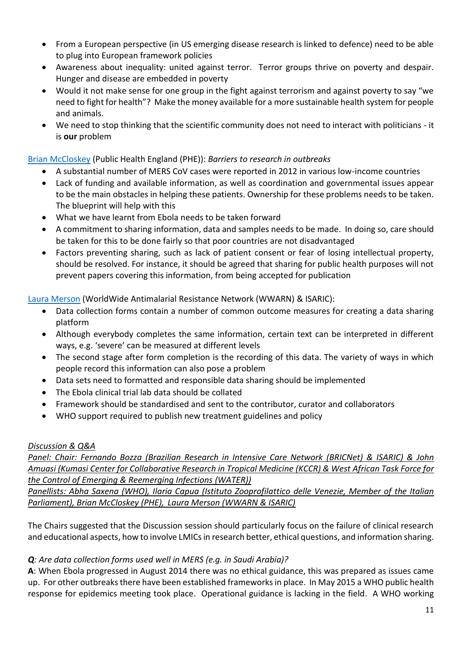- From a European perspective (in US emerging disease research is linked to defence) need to be able to plug into European framework policies
- Awareness about inequality: united against terror. Terror groups thrive on poverty and despair. Hunger and disease are embedded in poverty
- Would it not make sense for one group in the fight against terrorism and against poverty to say "we need to fight for health"? Make the money available for a more sustainable health system for people and animals.
- We need to stop thinking that the scientific community does not need to interact with politicians it is **our** problem

# [Brian McCloskey](https://isaric.tghn.org/site_media/media/medialibrary/2015/12/Brian_McCloskey_PHE.pdf) (Public Health England (PHE)): *Barriers to research in outbreaks*

- x A substantial number of MERS CoV cases were reported in 2012 in various low-income countries
- Lack of funding and available information, as well as coordination and governmental issues appear to be the main obstacles in helping these patients. Ownership for these problems needs to be taken. The blueprint will help with this
- What we have learnt from Ebola needs to be taken forward
- A commitment to sharing information, data and samples needs to be made. In doing so, care should be taken for this to be done fairly so that poor countries are not disadvantaged
- Factors preventing sharing, such as lack of patient consent or fear of losing intellectual property, should be resolved. For instance, it should be agreed that sharing for public health purposes will not prevent papers covering this information, from being accepted for publication

# [Laura Merson](https://isaric.tghn.org/site_media/media/medialibrary/2015/12/Laura_Merson_WWARN__ISARIC.pdf) (WorldWide Antimalarial Resistance Network (WWARN) & ISARIC):

- Data collection forms contain a number of common outcome measures for creating a data sharing platform
- Although everybody completes the same information, certain text can be interpreted in different ways, e.g. 'severe' can be measured at different levels
- The second stage after form completion is the recording of this data. The variety of ways in which people record this information can also pose a problem
- Data sets need to formatted and responsible data sharing should be implemented
- $\bullet$  The Ebola clinical trial lab data should be collated
- Framework should be standardised and sent to the contributor, curator and collaborators
- x WHO support required to publish new treatment guidelines and policy

#### *Discussion & Q&A*

*Panel: Chair: Fernando Bozza (Brazilian Research in Intensive Care Network (BRICNet) & ISARIC) & John Amuasi (Kumasi Center for Collaborative Research in Tropical Medicine (KCCR) & West African Task Force for the Control of Emerging & Reemerging Infections (WATER))*

*Panellists: Abha Saxena (WHO), Ilaria Capua (Istituto Zooprofilattico delle Venezie, Member of the Italian Parliament), Brian McCloskey (PHE), Laura Merson (WWARN & ISARIC)*

The Chairs suggested that the Discussion session should particularly focus on the failure of clinical research and educational aspects, how to involve LMICs in research better, ethical questions, and information sharing.

#### *Q: Are data collection forms used well in MERS (e.g. in Saudi Arabia)?*

**A**: When Ebola progressed in August 2014 there was no ethical guidance, this was prepared as issues came up. For other outbreaks there have been established frameworks in place. In May 2015 a WHO public health response for epidemics meeting took place. Operational guidance is lacking in the field. A WHO working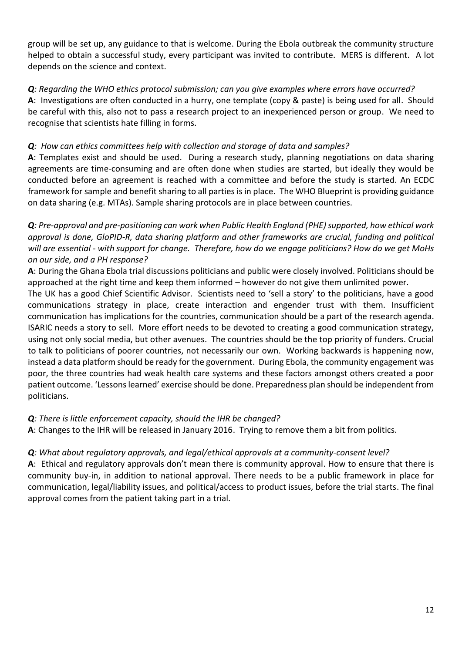group will be set up, any guidance to that is welcome. During the Ebola outbreak the community structure helped to obtain a successful study, every participant was invited to contribute. MERS is different. A lot depends on the science and context.

# *Q: Regarding the WHO ethics protocol submission; can you give examples where errors have occurred?*

**A**: Investigations are often conducted in a hurry, one template (copy & paste) is being used for all. Should be careful with this, also not to pass a research project to an inexperienced person or group. We need to recognise that scientists hate filling in forms.

# *Q: How can ethics committees help with collection and storage of data and samples?*

**A**: Templates exist and should be used. During a research study, planning negotiations on data sharing agreements are time-consuming and are often done when studies are started, but ideally they would be conducted before an agreement is reached with a committee and before the study is started. An ECDC framework for sample and benefit sharing to all parties is in place. The WHO Blueprint is providing guidance on data sharing (e.g. MTAs). Sample sharing protocols are in place between countries.

**Q***: Pre-approval and pre-positioning can work when Public Health England (PHE) supported, how ethical work approval is done, GloPID-R, data sharing platform and other frameworks are crucial, funding and political will are essential - with support for change. Therefore, how do we engage politicians? How do we get MoHs on our side, and a PH response?*

**A**: During the Ghana Ebola trial discussions politicians and public were closely involved. Politicians should be approached at the right time and keep them informed – however do not give them unlimited power.

The UK has a good Chief Scientific Advisor. Scientists need to 'sell a story' to the politicians, have a good communications strategy in place, create interaction and engender trust with them. Insufficient communication has implications for the countries, communication should be a part of the research agenda. ISARIC needs a story to sell. More effort needs to be devoted to creating a good communication strategy, using not only social media, but other avenues. The countries should be the top priority of funders. Crucial to talk to politicians of poorer countries, not necessarily our own. Working backwards is happening now, instead a data platform should be ready for the government. During Ebola, the community engagement was poor, the three countries had weak health care systems and these factors amongst others created a poor patient outcome. 'Lessons learned' exercise should be done. Preparedness plan should be independent from politicians.

# *Q: There is little enforcement capacity, should the IHR be changed?*

**A**: Changes to the IHR will be released in January 2016. Trying to remove them a bit from politics.

# *Q: What about regulatory approvals, and legal/ethical approvals at a community-consent level?*

**A**: Ethical and regulatory approvals don't mean there is community approval. How to ensure that there is community buy-in, in addition to national approval. There needs to be a public framework in place for communication, legal/liability issues, and political/access to product issues, before the trial starts. The final approval comes from the patient taking part in a trial.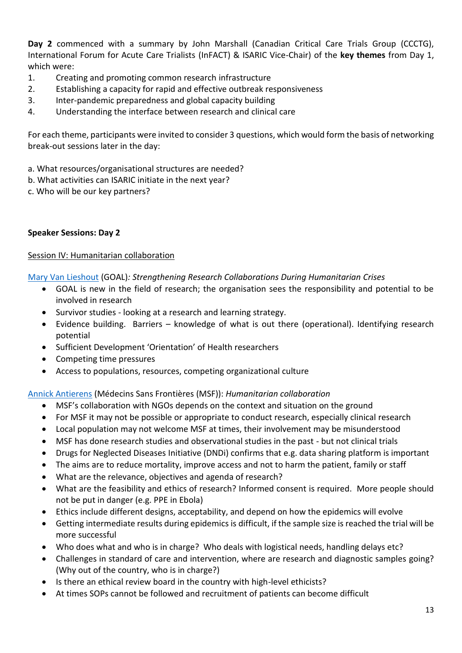**Day 2** commenced with a summary by John Marshall (Canadian Critical Care Trials Group (CCCTG), International Forum for Acute Care Trialists (InFACT) & ISARIC Vice-Chair) of the **key themes** from Day 1, which were:

- 1. Creating and promoting common research infrastructure
- 2. Establishing a capacity for rapid and effective outbreak responsiveness
- 3. Inter-pandemic preparedness and global capacity building
- 4. Understanding the interface between research and clinical care

For each theme, participants were invited to consider 3 questions, which would form the basis of networking break-out sessions later in the day:

- a. What resources/organisational structures are needed?
- b. What activities can ISARIC initiate in the next year?
- c. Who will be our key partners?

# **Speaker Sessions: Day 2**

#### Session IV: Humanitarian collaboration

[Mary Van Lieshout](https://isaric.tghn.org/site_media/media/medialibrary/2015/12/Mary_Van_Lieshout_GOAL.pdf) (GOAL)*: Strengthening Research Collaborations During Humanitarian Crises*

- GOAL is new in the field of research; the organisation sees the responsibility and potential to be involved in research
- Survivor studies looking at a research and learning strategy.
- Evidence building. Barriers knowledge of what is out there (operational). Identifying research potential
- Sufficient Development 'Orientation' of Health researchers
- Competing time pressures
- Access to populations, resources, competing organizational culture

[Annick Antierens](https://isaric.tghn.org/site_media/media/medialibrary/2015/12/Annick_Antierens_MSF.pdf) (Médecins Sans Frontières (MSF)): *Humanitarian collaboration*

- MSF's collaboration with NGOs depends on the context and situation on the ground
- For MSF it may not be possible or appropriate to conduct research, especially clinical research
- Local population may not welcome MSF at times, their involvement may be misunderstood
- MSF has done research studies and observational studies in the past but not clinical trials
- Drugs for Neglected Diseases Initiative (DNDi) confirms that e.g. data sharing platform is important
- The aims are to reduce mortality, improve access and not to harm the patient, family or staff
- What are the relevance, objectives and agenda of research?
- What are the feasibility and ethics of research? Informed consent is required. More people should not be put in danger (e.g. PPE in Ebola)
- Ethics include different designs, acceptability, and depend on how the epidemics will evolve
- Getting intermediate results during epidemics is difficult, if the sample size is reached the trial will be more successful
- Who does what and who is in charge? Who deals with logistical needs, handling delays etc?
- Challenges in standard of care and intervention, where are research and diagnostic samples going? (Why out of the country, who is in charge?)
- Is there an ethical review board in the country with high-level ethicists?
- At times SOPs cannot be followed and recruitment of patients can become difficult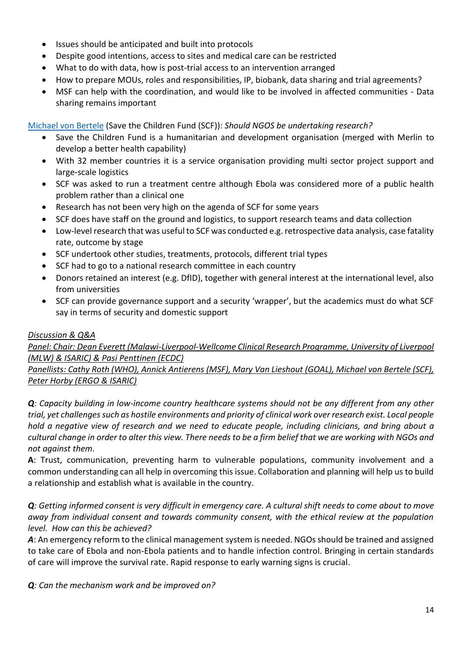- Issues should be anticipated and built into protocols
- Despite good intentions, access to sites and medical care can be restricted
- What to do with data, how is post-trial access to an intervention arranged
- How to prepare MOUs, roles and responsibilities, IP, biobank, data sharing and trial agreements?
- MSF can help with the coordination, and would like to be involved in affected communities Data sharing remains important

[Michael von Bertele](https://isaric.tghn.org/site_media/media/medialibrary/2015/12/Michael_von_Bertele_Save_the_Children.pdf) (Save the Children Fund (SCF)): *Should NGOS be undertaking research?*

- Save the Children Fund is a humanitarian and development organisation (merged with Merlin to develop a better health capability)
- With 32 member countries it is a service organisation providing multi sector project support and large-scale logistics
- SCF was asked to run a treatment centre although Ebola was considered more of a public health problem rather than a clinical one
- Research has not been very high on the agenda of SCF for some years
- SCF does have staff on the ground and logistics, to support research teams and data collection
- Low-level research that was useful to SCF was conducted e.g. retrospective data analysis, case fatality rate, outcome by stage
- SCF undertook other studies, treatments, protocols, different trial types
- SCF had to go to a national research committee in each country
- Donors retained an interest (e.g. DfID), together with general interest at the international level, also from universities
- SCF can provide governance support and a security 'wrapper', but the academics must do what SCF say in terms of security and domestic support

# *Discussion & Q&A*

*Panel: Chair: Dean Everett (Malawi-Liverpool-Wellcome Clinical Research Programme, University of Liverpool (MLW) & ISARIC) & Pasi Penttinen (ECDC)*

*Panellists: Cathy Roth (WHO), Annick Antierens (MSF), Mary Van Lieshout (GOAL), Michael von Bertele (SCF), Peter Horby (ERGO & ISARIC)*

*Q: Capacity building in low-income country healthcare systems should not be any different from any other trial, yet challenges such as hostile environments and priority of clinical work over research exist. Local people hold a negative view of research and we need to educate people, including clinicians, and bring about a cultural change in order to alter this view. There needs to be a firm belief that we are working with NGOs and not against them.*

**A**: Trust, communication, preventing harm to vulnerable populations, community involvement and a common understanding can all help in overcoming this issue. Collaboration and planning will help us to build a relationship and establish what is available in the country.

*Q: Getting informed consent is very difficult in emergency care. A cultural shift needs to come about to move away from individual consent and towards community consent, with the ethical review at the population level. How can this be achieved?*

A: An emergency reform to the clinical management system is needed. NGOs should be trained and assigned to take care of Ebola and non-Ebola patients and to handle infection control. Bringing in certain standards of care will improve the survival rate. Rapid response to early warning signs is crucial.

*Q: Can the mechanism work and be improved on?*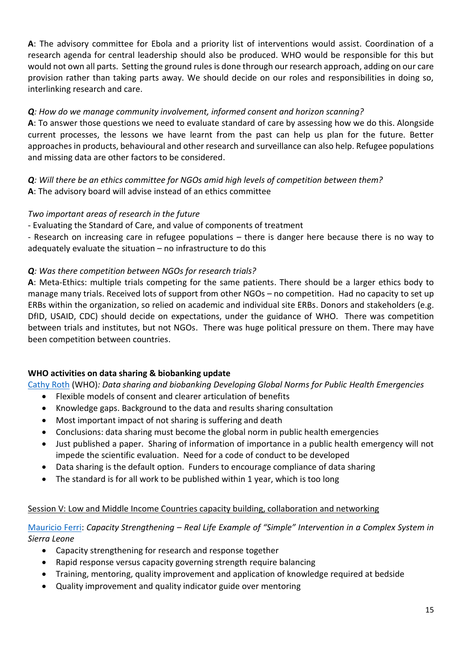**A**: The advisory committee for Ebola and a priority list of interventions would assist. Coordination of a research agenda for central leadership should also be produced. WHO would be responsible for this but would not own all parts. Setting the ground rules is done through our research approach, adding on our care provision rather than taking parts away. We should decide on our roles and responsibilities in doing so, interlinking research and care.

# *Q: How do we manage community involvement, informed consent and horizon scanning?*

**A**: To answer those questions we need to evaluate standard of care by assessing how we do this. Alongside current processes, the lessons we have learnt from the past can help us plan for the future. Better approaches in products, behavioural and other research and surveillance can also help. Refugee populations and missing data are other factors to be considered.

*Q: Will there be an ethics committee for NGOs amid high levels of competition between them?*  **A**: The advisory board will advise instead of an ethics committee

#### *Two important areas of research in the future*

- Evaluating the Standard of Care, and value of components of treatment

- Research on increasing care in refugee populations – there is danger here because there is no way to adequately evaluate the situation – no infrastructure to do this

#### *Q: Was there competition between NGOs for research trials?*

**A**: Meta-Ethics: multiple trials competing for the same patients. There should be a larger ethics body to manage many trials. Received lots of support from other NGOs – no competition. Had no capacity to set up ERBs within the organization, so relied on academic and individual site ERBs. Donors and stakeholders (e.g. DfID, USAID, CDC) should decide on expectations, under the guidance of WHO. There was competition between trials and institutes, but not NGOs. There was huge political pressure on them. There may have been competition between countries.

#### **WHO activities on data sharing & biobanking update**

[Cathy Roth](https://isaric.tghn.org/site_media/media/medialibrary/2015/12/Cathy_Roth_WHO.pdf) (WHO)*: Data sharing and biobanking Developing Global Norms for Public Health Emergencies*

- Flexible models of consent and clearer articulation of benefits
- Knowledge gaps. Background to the data and results sharing consultation
- Most important impact of not sharing is suffering and death
- Conclusions: data sharing must become the global norm in public health emergencies
- Just published a paper. Sharing of information of importance in a public health emergency will not impede the scientific evaluation. Need for a code of conduct to be developed
- Data sharing is the default option. Funders to encourage compliance of data sharing
- The standard is for all work to be published within 1 year, which is too long

#### Session V: Low and Middle Income Countries capacity building, collaboration and networking

# [Mauricio Ferri:](https://isaric.tghn.org/site_media/media/medialibrary/2015/12/Mauricio_Ferri.pdf) *Capacity Strengthening – Real Life Example of "Simple" Intervention in a Complex System in Sierra Leone*

- Capacity strengthening for research and response together
- Rapid response versus capacity governing strength require balancing
- Training, mentoring, quality improvement and application of knowledge required at bedside
- Quality improvement and quality indicator guide over mentoring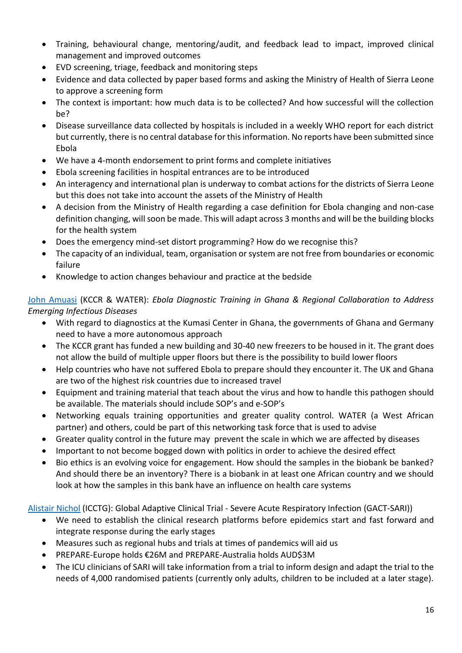- Training, behavioural change, mentoring/audit, and feedback lead to impact, improved clinical management and improved outcomes
- EVD screening, triage, feedback and monitoring steps
- Evidence and data collected by paper based forms and asking the Ministry of Health of Sierra Leone to approve a screening form
- The context is important: how much data is to be collected? And how successful will the collection be?
- x Disease surveillance data collected by hospitals is included in a weekly WHO report for each district but currently, there is no central database for this information. No reports have been submitted since Ebola
- We have a 4-month endorsement to print forms and complete initiatives
- Ebola screening facilities in hospital entrances are to be introduced
- An interagency and international plan is underway to combat actions for the districts of Sierra Leone but this does not take into account the assets of the Ministry of Health
- A decision from the Ministry of Health regarding a case definition for Ebola changing and non-case definition changing, will soon be made. This will adapt across 3 months and will be the building blocks for the health system
- Does the emergency mind-set distort programming? How do we recognise this?
- The capacity of an individual, team, organisation or system are not free from boundaries or economic failure
- Knowledge to action changes behaviour and practice at the bedside

[John Amuasi](https://isaric.tghn.org/site_media/media/medialibrary/2015/12/John_Amuasi_Kumasi_Center_for_Collaborative_Research_in_Tropical_Medicine__WATER.pdf) (KCCR & WATER): *Ebola Diagnostic Training in Ghana & Regional Collaboration to Address Emerging Infectious Diseases*

- With regard to diagnostics at the Kumasi Center in Ghana, the governments of Ghana and Germany need to have a more autonomous approach
- The KCCR grant has funded a new building and 30-40 new freezers to be housed in it. The grant does not allow the build of multiple upper floors but there is the possibility to build lower floors
- Help countries who have not suffered Ebola to prepare should they encounter it. The UK and Ghana are two of the highest risk countries due to increased travel
- Equipment and training material that teach about the virus and how to handle this pathogen should be available. The materials should include SOP's and e-SOP's
- Networking equals training opportunities and greater quality control. WATER (a West African partner) and others, could be part of this networking task force that is used to advise
- Greater quality control in the future may prevent the scale in which we are affected by diseases
- Important to not become bogged down with politics in order to achieve the desired effect
- Bio ethics is an evolving voice for engagement. How should the samples in the biobank be banked? And should there be an inventory? There is a biobank in at least one African country and we should look at how the samples in this bank have an influence on health care systems

[Alistair Nichol](https://isaric.tghn.org/site_media/media/medialibrary/2015/12/Alistair_Nichol_University_College_Dublin__Peter_Horby_University_of_Oxford.pdf) (ICCTG): Global Adaptive Clinical Trial - Severe Acute Respiratory Infection (GACT-SARI))

- We need to establish the clinical research platforms before epidemics start and fast forward and integrate response during the early stages
- Measures such as regional hubs and trials at times of pandemics will aid us
- PREPARE-Europe holds €26M and PREPARE-Australia holds AUD\$3M
- The ICU clinicians of SARI will take information from a trial to inform design and adapt the trial to the needs of 4,000 randomised patients (currently only adults, children to be included at a later stage).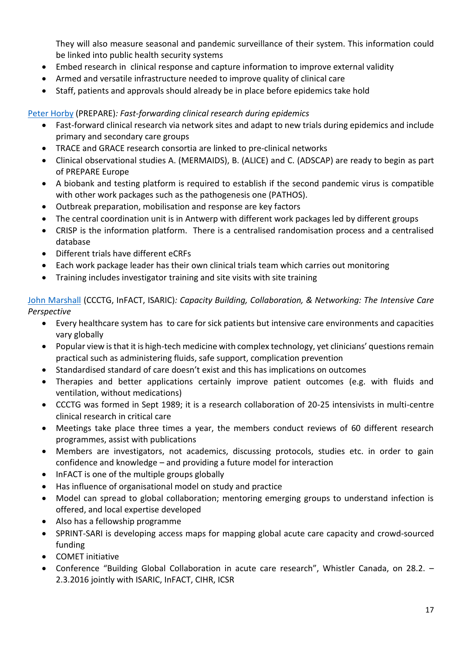They will also measure seasonal and pandemic surveillance of their system. This information could be linked into public health security systems

- Embed research in clinical response and capture information to improve external validity
- Armed and versatile infrastructure needed to improve quality of clinical care
- Staff, patients and approvals should already be in place before epidemics take hold

# [Peter Horby](https://isaric.tghn.org/site_media/media/medialibrary/2015/12/Alistair_Nichol_University_College_Dublin__Peter_Horby_University_of_Oxford.pdf) (PREPARE)*: Fast-forwarding clinical research during epidemics*

- Fast-forward clinical research via network sites and adapt to new trials during epidemics and include primary and secondary care groups
- TRACE and GRACE research consortia are linked to pre-clinical networks
- Clinical observational studies A. (MERMAIDS), B. (ALICE) and C. (ADSCAP) are ready to begin as part of PREPARE Europe
- A biobank and testing platform is required to establish if the second pandemic virus is compatible with other work packages such as the pathogenesis one (PATHOS).
- Outbreak preparation, mobilisation and response are key factors
- The central coordination unit is in Antwerp with different work packages led by different groups
- CRISP is the information platform. There is a centralised randomisation process and a centralised database
- Different trials have different eCRFs
- Each work package leader has their own clinical trials team which carries out monitoring
- Training includes investigator training and site visits with site training

[John Marshall](https://isaric.tghn.org/site_media/media/medialibrary/2015/12/John_Marshall_CCCTG_InFACT_ISARIC.pdf) (CCCTG, InFACT, ISARIC)*: Capacity Building, Collaboration, & Networking: The Intensive Care Perspective*

- Every healthcare system has to care for sick patients but intensive care environments and capacities vary globally
- Popular view is that it is high-tech medicine with complex technology, yet clinicians' questions remain practical such as administering fluids, safe support, complication prevention
- Standardised standard of care doesn't exist and this has implications on outcomes
- Therapies and better applications certainly improve patient outcomes (e.g. with fluids and ventilation, without medications)
- CCCTG was formed in Sept 1989; it is a research collaboration of 20-25 intensivists in multi-centre clinical research in critical care
- Meetings take place three times a year, the members conduct reviews of 60 different research programmes, assist with publications
- Members are investigators, not academics, discussing protocols, studies etc. in order to gain confidence and knowledge – and providing a future model for interaction
- InFACT is one of the multiple groups globally
- Has influence of organisational model on study and practice
- Model can spread to global collaboration; mentoring emerging groups to understand infection is offered, and local expertise developed
- Also has a fellowship programme
- SPRINT-SARI is developing access maps for mapping global acute care capacity and crowd-sourced funding
- COMFT initiative
- Conference "Building Global Collaboration in acute care research", Whistler Canada, on 28.2. -2.3.2016 jointly with ISARIC, InFACT, CIHR, ICSR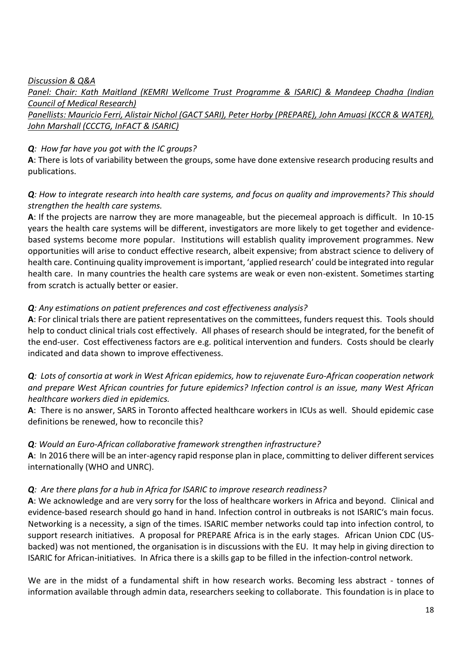#### *Discussion & Q&A*

*Panel: Chair: Kath Maitland (KEMRI Wellcome Trust Programme & ISARIC) & Mandeep Chadha (Indian Council of Medical Research)*

# *Panellists: Mauricio Ferri, Alistair Nichol (GACT SARI), Peter Horby (PREPARE), John Amuasi (KCCR & WATER), John Marshall (CCCTG, InFACT & ISARIC)*

#### *Q: How far have you got with the IC groups?*

**A**: There is lots of variability between the groups, some have done extensive research producing results and publications.

# *Q: How to integrate research into health care systems, and focus on quality and improvements? This should strengthen the health care systems.*

**A**: If the projects are narrow they are more manageable, but the piecemeal approach is difficult. In 10-15 years the health care systems will be different, investigators are more likely to get together and evidencebased systems become more popular. Institutions will establish quality improvement programmes. New opportunities will arise to conduct effective research, albeit expensive; from abstract science to delivery of health care. Continuing quality improvement is important, 'applied research' could be integrated into regular health care. In many countries the health care systems are weak or even non-existent. Sometimes starting from scratch is actually better or easier.

# *Q: Any estimations on patient preferences and cost effectiveness analysis?*

**A**: For clinical trials there are patient representatives on the committees, funders request this. Tools should help to conduct clinical trials cost effectively. All phases of research should be integrated, for the benefit of the end-user. Cost effectiveness factors are e.g. political intervention and funders. Costs should be clearly indicated and data shown to improve effectiveness.

# *Q: Lots of consortia at work in West African epidemics, how to rejuvenate Euro-African cooperation network and prepare West African countries for future epidemics? Infection control is an issue, many West African healthcare workers died in epidemics.*

**A**: There is no answer, SARS in Toronto affected healthcare workers in ICUs as well. Should epidemic case definitions be renewed, how to reconcile this?

#### *Q: Would an Euro-African collaborative framework strengthen infrastructure?*

**A**: In 2016 there will be an inter-agency rapid response plan in place, committing to deliver different services internationally (WHO and UNRC).

#### *Q: Are there plans for a hub in Africa for ISARIC to improve research readiness?*

**A**: We acknowledge and are very sorry for the loss of healthcare workers in Africa and beyond. Clinical and evidence-based research should go hand in hand. Infection control in outbreaks is not ISARIC's main focus. Networking is a necessity, a sign of the times. ISARIC member networks could tap into infection control, to support research initiatives. A proposal for PREPARE Africa is in the early stages. African Union CDC (USbacked) was not mentioned, the organisation is in discussions with the EU. It may help in giving direction to ISARIC for African-initiatives. In Africa there is a skills gap to be filled in the infection-control network.

We are in the midst of a fundamental shift in how research works. Becoming less abstract - tonnes of information available through admin data, researchers seeking to collaborate. This foundation is in place to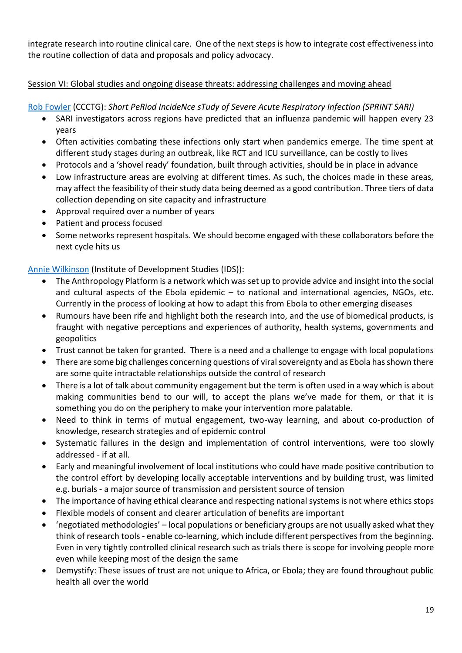integrate research into routine clinical care. One of the next steps is how to integrate cost effectiveness into the routine collection of data and proposals and policy advocacy.

# Session VI: Global studies and ongoing disease threats: addressing challenges and moving ahead

[Rob Fowler](https://isaric.tghn.org/site_media/media/medialibrary/2015/12/Rob_Fowler_SPRINT_SARI.pdf) (CCCTG): *Short PeRiod IncideNce sTudy of Severe Acute Respiratory Infection (SPRINT SARI)*

- SARI investigators across regions have predicted that an influenza pandemic will happen every 23 years
- Often activities combating these infections only start when pandemics emerge. The time spent at different study stages during an outbreak, like RCT and ICU surveillance, can be costly to lives
- Protocols and a 'shovel ready' foundation, built through activities, should be in place in advance
- Low infrastructure areas are evolving at different times. As such, the choices made in these areas, may affect the feasibility of their study data being deemed as a good contribution. Three tiers of data collection depending on site capacity and infrastructure
- Approval required over a number of years
- Patient and process focused
- Some networks represent hospitals. We should become engaged with these collaborators before the next cycle hits us

[Annie Wilkinson](https://isaric.tghn.org/site_media/media/medialibrary/2015/12/Annie_Wilkinson_Institute_of_Development_Studies.pdf) (Institute of Development Studies (IDS)):

- The Anthropology Platform is a network which was set up to provide advice and insight into the social and cultural aspects of the Ebola epidemic – to national and international agencies, NGOs, etc. Currently in the process of looking at how to adapt this from Ebola to other emerging diseases
- Rumours have been rife and highlight both the research into, and the use of biomedical products, is fraught with negative perceptions and experiences of authority, health systems, governments and geopolitics
- Trust cannot be taken for granted. There is a need and a challenge to engage with local populations
- There are some big challenges concerning questions of viral sovereignty and as Ebola has shown there are some quite intractable relationships outside the control of research
- There is a lot of talk about community engagement but the term is often used in a way which is about making communities bend to our will, to accept the plans we've made for them, or that it is something you do on the periphery to make your intervention more palatable.
- Need to think in terms of mutual engagement, two-way learning, and about co-production of knowledge, research strategies and of epidemic control
- Systematic failures in the design and implementation of control interventions, were too slowly addressed - if at all.
- Early and meaningful involvement of local institutions who could have made positive contribution to the control effort by developing locally acceptable interventions and by building trust, was limited e.g. burials - a major source of transmission and persistent source of tension
- The importance of having ethical clearance and respecting national systems is not where ethics stops
- Flexible models of consent and clearer articulation of benefits are important
- x 'negotiated methodologies' local populations or beneficiary groups are not usually asked what they think of research tools - enable co-learning, which include different perspectives from the beginning. Even in very tightly controlled clinical research such as trials there is scope for involving people more even while keeping most of the design the same
- Demystify: These issues of trust are not unique to Africa, or Ebola; they are found throughout public health all over the world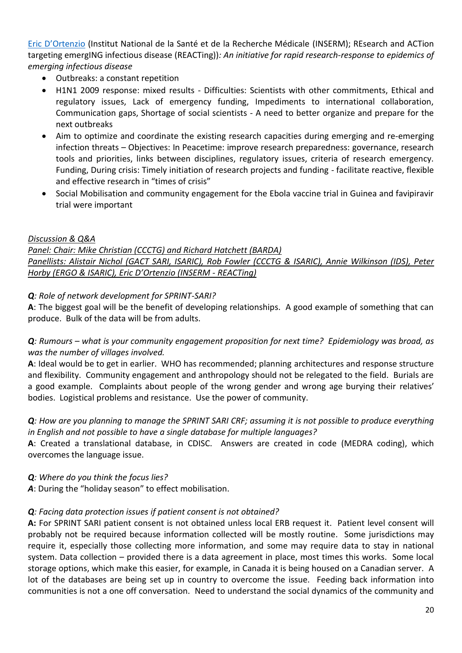[Eric D'Ortenzio](https://isaric.tghn.org/site_media/media/medialibrary/2016/05/Eric_DOrtenzio-REACTing.pdf) (Institut National de la Santé et de la Recherche Médicale (INSERM); REsearch and ACTion targeting emergING infectious disease (REACTing))*: An initiative for rapid research-response to epidemics of emerging infectious disease*

- Outbreaks: a constant repetition
- H1N1 2009 response: mixed results Difficulties: Scientists with other commitments, Ethical and regulatory issues, Lack of emergency funding, Impediments to international collaboration, Communication gaps, Shortage of social scientists - A need to better organize and prepare for the next outbreaks
- Aim to optimize and coordinate the existing research capacities during emerging and re-emerging infection threats – Objectives: In Peacetime: improve research preparedness: governance, research tools and priorities, links between disciplines, regulatory issues, criteria of research emergency. Funding, During crisis: Timely initiation of research projects and funding - facilitate reactive, flexible and effective research in "times of crisis"
- Social Mobilisation and community engagement for the Ebola vaccine trial in Guinea and favipiravir trial were important

# *Discussion & Q&A*

*Panel: Chair: Mike Christian (CCCTG) and Richard Hatchett (BARDA) Panellists: Alistair Nichol (GACT SARI, ISARIC), Rob Fowler (CCCTG & ISARIC), Annie Wilkinson (IDS), Peter Horby (ERGO & ISARIC), Eric D'Ortenzio (INSERM - REACTing)*

# *Q: Role of network development for SPRINT-SARI?*

**A**: The biggest goal will be the benefit of developing relationships. A good example of something that can produce. Bulk of the data will be from adults.

*Q*: Rumours – what is your community engagement proposition for next time? Epidemiology was broad, as *was the number of villages involved.*

**A**: Ideal would be to get in earlier. WHO has recommended; planning architectures and response structure and flexibility. Community engagement and anthropology should not be relegated to the field. Burials are a good example. Complaints about people of the wrong gender and wrong age burying their relatives' bodies. Logistical problems and resistance. Use the power of community.

# *Q: How are you planning to manage the SPRINT SARI CRF; assuming it is not possible to produce everything in English and not possible to have a single database for multiple languages?*

**A**: Created a translational database, in CDISC. Answers are created in code (MEDRA coding), which overcomes the language issue.

*Q: Where do you think the focus lies?*

*A*: During the "holiday season" to effect mobilisation.

# *Q: Facing data protection issues if patient consent is not obtained?*

**A:** For SPRINT SARI patient consent is not obtained unless local ERB request it. Patient level consent will probably not be required because information collected will be mostly routine. Some jurisdictions may require it, especially those collecting more information, and some may require data to stay in national system. Data collection – provided there is a data agreement in place, most times this works. Some local storage options, which make this easier, for example, in Canada it is being housed on a Canadian server. A lot of the databases are being set up in country to overcome the issue. Feeding back information into communities is not a one off conversation. Need to understand the social dynamics of the community and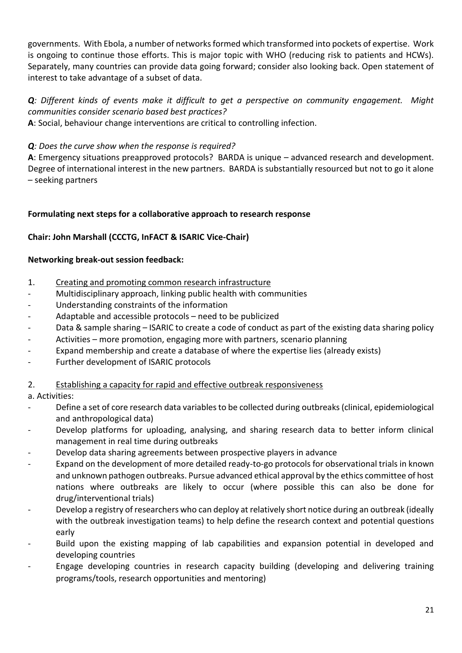governments. With Ebola, a number of networks formed which transformed into pockets of expertise. Work is ongoing to continue those efforts. This is major topic with WHO (reducing risk to patients and HCWs). Separately, many countries can provide data going forward; consider also looking back. Open statement of interest to take advantage of a subset of data.

# *Q: Different kinds of events make it difficult to get a perspective on community engagement. Might communities consider scenario based best practices?*

**A**: Social, behaviour change interventions are critical to controlling infection.

# *Q: Does the curve show when the response is required?*

**A**: Emergency situations preapproved protocols? BARDA is unique – advanced research and development. Degree of international interest in the new partners. BARDA is substantially resourced but not to go it alone – seeking partners

#### **Formulating next steps for a collaborative approach to research response**

#### **Chair: John Marshall (CCCTG, InFACT & ISARIC Vice-Chair)**

#### **Networking break-out session feedback:**

- 1. Creating and promoting common research infrastructure
- Multidisciplinary approach, linking public health with communities
- Understanding constraints of the information
- Adaptable and accessible protocols need to be publicized
- Data & sample sharing ISARIC to create a code of conduct as part of the existing data sharing policy
- Activities more promotion, engaging more with partners, scenario planning
- Expand membership and create a database of where the expertise lies (already exists)
- Further development of ISARIC protocols
- 2. Establishing a capacity for rapid and effective outbreak responsiveness

#### a. Activities:

- Define a set of core research data variables to be collected during outbreaks (clinical, epidemiological and anthropological data)
- Develop platforms for uploading, analysing, and sharing research data to better inform clinical management in real time during outbreaks
- Develop data sharing agreements between prospective players in advance
- Expand on the development of more detailed ready-to-go protocols for observational trials in known and unknown pathogen outbreaks. Pursue advanced ethical approval by the ethics committee of host nations where outbreaks are likely to occur (where possible this can also be done for drug/interventional trials)
- Develop a registry of researchers who can deploy at relatively short notice during an outbreak (ideally with the outbreak investigation teams) to help define the research context and potential questions early
- Build upon the existing mapping of lab capabilities and expansion potential in developed and developing countries
- Engage developing countries in research capacity building (developing and delivering training programs/tools, research opportunities and mentoring)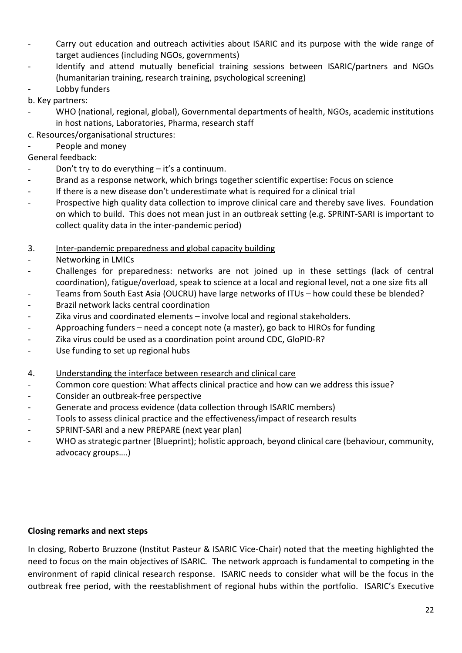- Carry out education and outreach activities about ISARIC and its purpose with the wide range of target audiences (including NGOs, governments)
- Identify and attend mutually beneficial training sessions between ISARIC/partners and NGOs (humanitarian training, research training, psychological screening)
- Lobby funders
- b. Key partners:
- WHO (national, regional, global), Governmental departments of health, NGOs, academic institutions in host nations, Laboratories, Pharma, research staff
- c. Resources/organisational structures:
- People and money

# General feedback:

- Don't try to do everything  $-$  it's a continuum.
- Brand as a response network, which brings together scientific expertise: Focus on science
- If there is a new disease don't underestimate what is required for a clinical trial
- Prospective high quality data collection to improve clinical care and thereby save lives. Foundation on which to build. This does not mean just in an outbreak setting (e.g. SPRINT-SARI is important to collect quality data in the inter-pandemic period)
- 3. Inter-pandemic preparedness and global capacity building
- Networking in LMICs
- Challenges for preparedness: networks are not joined up in these settings (lack of central coordination), fatigue/overload, speak to science at a local and regional level, not a one size fits all
- Teams from South East Asia (OUCRU) have large networks of ITUs how could these be blended?
- Brazil network lacks central coordination
- Zika virus and coordinated elements involve local and regional stakeholders.
- Approaching funders need a concept note (a master), go back to HIROs for funding
- Zika virus could be used as a coordination point around CDC, GloPID-R?
- Use funding to set up regional hubs
- 4. Understanding the interface between research and clinical care
- Common core question: What affects clinical practice and how can we address this issue?
- Consider an outbreak-free perspective
- Generate and process evidence (data collection through ISARIC members)
- Tools to assess clinical practice and the effectiveness/impact of research results
- SPRINT-SARI and a new PREPARE (next year plan)
- WHO as strategic partner (Blueprint); holistic approach, beyond clinical care (behaviour, community, advocacy groups….)

# **Closing remarks and next steps**

In closing, Roberto Bruzzone (Institut Pasteur & ISARIC Vice-Chair) noted that the meeting highlighted the need to focus on the main objectives of ISARIC. The network approach is fundamental to competing in the environment of rapid clinical research response. ISARIC needs to consider what will be the focus in the outbreak free period, with the reestablishment of regional hubs within the portfolio. ISARIC's Executive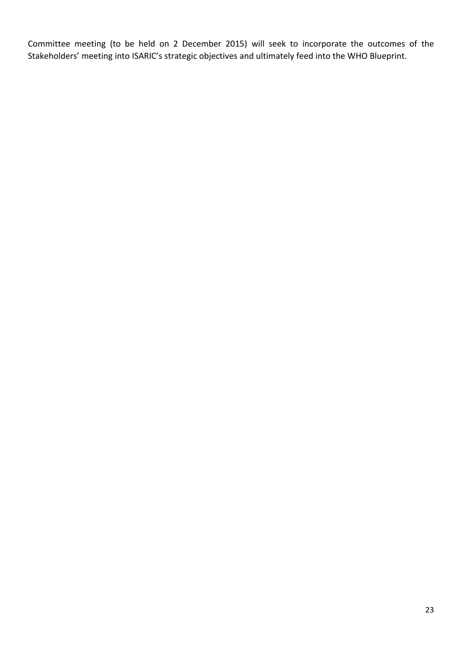Committee meeting (to be held on 2 December 2015) will seek to incorporate the outcomes of the Stakeholders' meeting into ISARIC's strategic objectives and ultimately feed into the WHO Blueprint.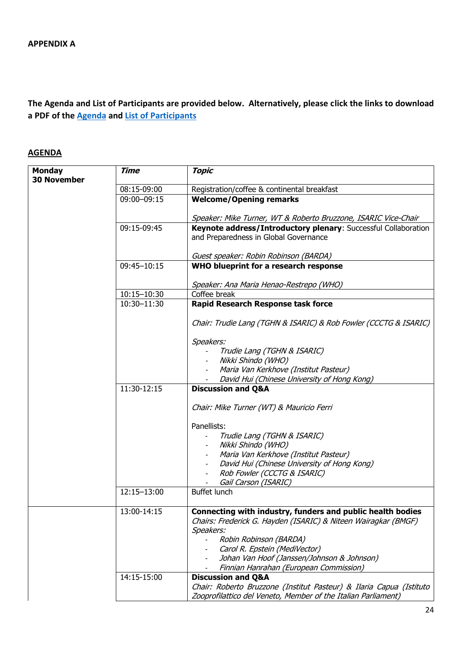# **The Agenda and List of Participants are provided below. Alternatively, please click the links to download a PDF of the [Agenda](https://isaric.tghn.org/site_media/media/medialibrary/2015/12/FINAL_Agenda_for_ISARIC_30NOV-1DEC_2015_meeting.pdf) and [List of Participants](https://isaric.tghn.org/site_media/media/medialibrary/2015/12/FINAL_LOP_for_ISARIC_Stakeholders_meeting_30NOV-1DEC_2015.pdf)**

# **AGENDA**

| <b>Monday</b><br><b>30 November</b> | <b>Time</b> | <b>Topic</b>                                                                                                                         |
|-------------------------------------|-------------|--------------------------------------------------------------------------------------------------------------------------------------|
|                                     | 08:15-09:00 | Registration/coffee & continental breakfast                                                                                          |
|                                     | 09:00-09:15 | <b>Welcome/Opening remarks</b>                                                                                                       |
|                                     |             | Speaker: Mike Turner, WT & Roberto Bruzzone, ISARIC Vice-Chair                                                                       |
|                                     | 09:15-09:45 | Keynote address/Introductory plenary: Successful Collaboration                                                                       |
|                                     |             | and Preparedness in Global Governance                                                                                                |
|                                     |             | Guest speaker: Robin Robinson (BARDA)                                                                                                |
|                                     | 09:45-10:15 | WHO blueprint for a research response                                                                                                |
|                                     |             | Speaker: Ana Maria Henao-Restrepo (WHO)                                                                                              |
|                                     | 10:15-10:30 | Coffee break                                                                                                                         |
|                                     | 10:30-11:30 | <b>Rapid Research Response task force</b>                                                                                            |
|                                     |             | Chair: Trudie Lang (TGHN & ISARIC) & Rob Fowler (CCCTG & ISARIC)                                                                     |
|                                     |             | Speakers:                                                                                                                            |
|                                     |             | Trudie Lang (TGHN & ISARIC)                                                                                                          |
|                                     |             | Nikki Shindo (WHO)                                                                                                                   |
|                                     |             | Maria Van Kerkhove (Institut Pasteur)                                                                                                |
|                                     |             | David Hui (Chinese University of Hong Kong)                                                                                          |
|                                     | 11:30-12:15 | <b>Discussion and Q&amp;A</b>                                                                                                        |
|                                     |             | Chair: Mike Turner (WT) & Mauricio Ferri                                                                                             |
|                                     |             | Panellists:                                                                                                                          |
|                                     |             | Trudie Lang (TGHN & ISARIC)                                                                                                          |
|                                     |             | Nikki Shindo (WHO)                                                                                                                   |
|                                     |             | Maria Van Kerkhove (Institut Pasteur)                                                                                                |
|                                     |             | David Hui (Chinese University of Hong Kong)                                                                                          |
|                                     |             | Rob Fowler (CCCTG & ISARIC)                                                                                                          |
|                                     | 12:15-13:00 | Gail Carson (ISARIC)<br><b>Buffet lunch</b>                                                                                          |
|                                     | 13:00-14:15 | Connecting with industry, funders and public health bodies                                                                           |
|                                     |             | Chairs: Frederick G. Hayden (ISARIC) & Niteen Wairagkar (BMGF)                                                                       |
|                                     |             | Speakers:                                                                                                                            |
|                                     |             | Robin Robinson (BARDA)                                                                                                               |
|                                     |             | Carol R. Epstein (MediVector)<br>Johan Van Hoof (Janssen/Johnson & Johnson)                                                          |
|                                     |             | Finnian Hanrahan (European Commission)                                                                                               |
|                                     | 14:15-15:00 | <b>Discussion and Q&amp;A</b>                                                                                                        |
|                                     |             | Chair: Roberto Bruzzone (Institut Pasteur) & Ilaria Capua (Istituto<br>Zooprofilattico del Veneto, Member of the Italian Parliament) |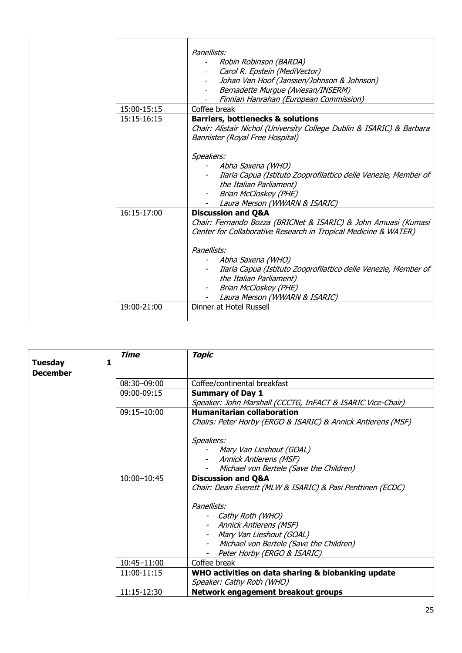|             | Panellists:<br>Robin Robinson (BARDA)<br>Carol R. Epstein (MediVector)<br>Johan Van Hoof (Janssen/Johnson & Johnson)<br>Bernadette Murgue (Aviesan/INSERM)                                                                                                                                                                                                     |
|-------------|----------------------------------------------------------------------------------------------------------------------------------------------------------------------------------------------------------------------------------------------------------------------------------------------------------------------------------------------------------------|
|             | Finnian Hanrahan (European Commission)                                                                                                                                                                                                                                                                                                                         |
| 15:00-15:15 | Coffee break                                                                                                                                                                                                                                                                                                                                                   |
| 15:15-16:15 | <b>Barriers, bottlenecks &amp; solutions</b><br>Chair: Alistair Nichol (University College Dublin & ISARIC) & Barbara<br>Bannister (Royal Free Hospital)                                                                                                                                                                                                       |
|             | Speakers:<br>Abha Saxena (WHO)<br>Ilaria Capua (Istituto Zooprofilattico delle Venezie, Member of<br>the Italian Parliament)<br>Brian McCloskey (PHE)<br>Laura Merson (WWARN & ISARIC)                                                                                                                                                                         |
| 16:15-17:00 | <b>Discussion and Q&amp;A</b><br>Chair: Fernando Bozza (BRICNet & ISARIC) & John Amuasi (Kumasi<br>Center for Collaborative Research in Tropical Medicine & WATER)<br>Panellists:<br>Abha Saxena (WHO)<br>Ilaria Capua (Istituto Zooprofilattico delle Venezie, Member of<br>the Italian Parliament)<br>Brian McCloskey (PHE)<br>Laura Merson (WWARN & ISARIC) |
| 19:00-21:00 | Dinner at Hotel Russell                                                                                                                                                                                                                                                                                                                                        |

| Tuesday         | <b>Time</b> | <b>Topic</b>                                                 |
|-----------------|-------------|--------------------------------------------------------------|
| <b>December</b> |             |                                                              |
|                 | 08:30-09:00 | Coffee/continental breakfast                                 |
|                 | 09:00-09:15 | <b>Summary of Day 1</b>                                      |
|                 |             | Speaker: John Marshall (CCCTG, InFACT & ISARIC Vice-Chair)   |
|                 | 09:15-10:00 | <b>Humanitarian collaboration</b>                            |
|                 |             | Chairs: Peter Horby (ERGO & ISARIC) & Annick Antierens (MSF) |
|                 |             | Speakers:                                                    |
|                 |             | Mary Van Lieshout (GOAL)                                     |
|                 |             | Annick Antierens (MSF)                                       |
|                 |             | Michael von Bertele (Save the Children)                      |
|                 | 10:00-10:45 | <b>Discussion and Q&amp;A</b>                                |
|                 |             | Chair: Dean Everett (MLW & ISARIC) & Pasi Penttinen (ECDC)   |
|                 |             | Panellists:                                                  |
|                 |             | Cathy Roth (WHO)                                             |
|                 |             | - Annick Antierens (MSF)                                     |
|                 |             | Mary Van Lieshout (GOAL)                                     |
|                 |             | Michael von Bertele (Save the Children)                      |
|                 |             | Peter Horby (ERGO & ISARIC)                                  |
|                 | 10:45-11:00 | Coffee break                                                 |
|                 | 11:00-11:15 | WHO activities on data sharing & biobanking update           |
|                 |             | Speaker: Cathy Roth (WHO)                                    |
|                 | 11:15-12:30 | Network engagement breakout groups                           |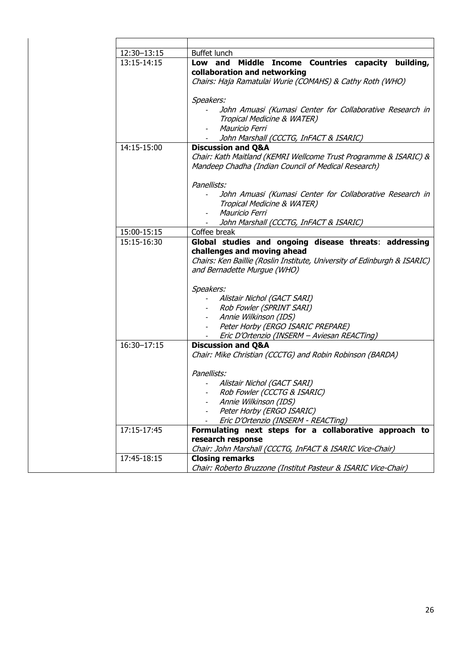| 12:30-13:15 | Buffet lunch                                                                                            |
|-------------|---------------------------------------------------------------------------------------------------------|
| 13:15-14:15 | Low and Middle Income Countries capacity building,                                                      |
|             | collaboration and networking                                                                            |
|             | Chairs: Haja Ramatulai Wurie (COMAHS) & Cathy Roth (WHO)                                                |
|             |                                                                                                         |
|             | Speakers:<br>John Amuasi (Kumasi Center for Collaborative Research in                                   |
|             | Tropical Medicine & WATER)                                                                              |
|             | Mauricio Ferri                                                                                          |
|             | John Marshall (CCCTG, InFACT & ISARIC)                                                                  |
| 14:15-15:00 | <b>Discussion and Q&amp;A</b>                                                                           |
|             | Chair: Kath Maitland (KEMRI Wellcome Trust Programme & ISARIC) &                                        |
|             | Mandeep Chadha (Indian Council of Medical Research)                                                     |
|             |                                                                                                         |
|             | Panellists:                                                                                             |
|             | John Amuasi (Kumasi Center for Collaborative Research in                                                |
|             | Tropical Medicine & WATER)                                                                              |
|             | Mauricio Ferri                                                                                          |
|             | John Marshall (CCCTG, InFACT & ISARIC)                                                                  |
| 15:00-15:15 | Coffee break                                                                                            |
| 15:15-16:30 | Global studies and ongoing disease threats: addressing                                                  |
|             | challenges and moving ahead<br>Chairs: Ken Baillie (Roslin Institute, University of Edinburgh & ISARIC) |
|             | and Bernadette Murgue (WHO)                                                                             |
|             |                                                                                                         |
|             | Speakers:                                                                                               |
|             | Alistair Nichol (GACT SARI)                                                                             |
|             | Rob Fowler (SPRINT SARI)<br>$\sim$                                                                      |
|             | Annie Wilkinson (IDS)<br>$\blacksquare$                                                                 |
|             | Peter Horby (ERGO ISARIC PREPARE)<br>$\blacksquare$                                                     |
|             | Eric D'Ortenzio (INSERM - Aviesan REACTing)                                                             |
| 16:30-17:15 | <b>Discussion and Q&amp;A</b>                                                                           |
|             | Chair: Mike Christian (CCCTG) and Robin Robinson (BARDA)                                                |
|             |                                                                                                         |
|             | Panellists:                                                                                             |
|             | Alistair Nichol (GACT SARI)<br>Rob Fowler (CCCTG & ISARIC)                                              |
|             | Annie Wilkinson (IDS)                                                                                   |
|             | Peter Horby (ERGO ISARIC)                                                                               |
|             | Eric D'Ortenzio (INSERM - REACTing)                                                                     |
| 17:15-17:45 | Formulating next steps for a collaborative approach to                                                  |
|             | research response                                                                                       |
|             | Chair: John Marshall (CCCTG, InFACT & ISARIC Vice-Chair)                                                |
| 17:45-18:15 | <b>Closing remarks</b>                                                                                  |
|             | Chair: Roberto Bruzzone (Institut Pasteur & ISARIC Vice-Chair)                                          |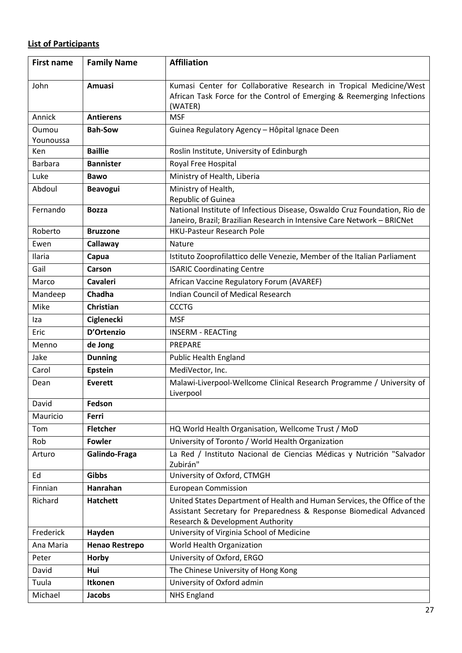# **List of Participants**

| <b>First name</b>  | <b>Family Name</b>    | <b>Affiliation</b>                                                                                                                                   |
|--------------------|-----------------------|------------------------------------------------------------------------------------------------------------------------------------------------------|
| John               | Amuasi                | Kumasi Center for Collaborative Research in Tropical Medicine/West                                                                                   |
|                    |                       | African Task Force for the Control of Emerging & Reemerging Infections                                                                               |
|                    |                       | (WATER)                                                                                                                                              |
| Annick             | <b>Antierens</b>      | <b>MSF</b>                                                                                                                                           |
| Oumou<br>Younoussa | <b>Bah-Sow</b>        | Guinea Regulatory Agency - Hôpital Ignace Deen                                                                                                       |
| Ken                | <b>Baillie</b>        | Roslin Institute, University of Edinburgh                                                                                                            |
| Barbara            | <b>Bannister</b>      | Royal Free Hospital                                                                                                                                  |
| Luke               | <b>Bawo</b>           | Ministry of Health, Liberia                                                                                                                          |
| Abdoul             | <b>Beavogui</b>       | Ministry of Health,                                                                                                                                  |
|                    |                       | Republic of Guinea                                                                                                                                   |
| Fernando           | <b>Bozza</b>          | National Institute of Infectious Disease, Oswaldo Cruz Foundation, Rio de<br>Janeiro, Brazil; Brazilian Research in Intensive Care Network - BRICNet |
| Roberto            | <b>Bruzzone</b>       | <b>HKU-Pasteur Research Pole</b>                                                                                                                     |
| Ewen               | Callaway              | <b>Nature</b>                                                                                                                                        |
| Ilaria             | Capua                 | Istituto Zooprofilattico delle Venezie, Member of the Italian Parliament                                                                             |
| Gail               | Carson                | <b>ISARIC Coordinating Centre</b>                                                                                                                    |
| Marco              | <b>Cavaleri</b>       | African Vaccine Regulatory Forum (AVAREF)                                                                                                            |
| Mandeep            | Chadha                | Indian Council of Medical Research                                                                                                                   |
| Mike               | <b>Christian</b>      | <b>CCCTG</b>                                                                                                                                         |
| Iza                | <b>Ciglenecki</b>     | <b>MSF</b>                                                                                                                                           |
| Eric               | D'Ortenzio            | <b>INSERM - REACTING</b>                                                                                                                             |
| Menno              | de Jong               | PREPARE                                                                                                                                              |
| Jake               | <b>Dunning</b>        | Public Health England                                                                                                                                |
| Carol              | <b>Epstein</b>        | MediVector, Inc.                                                                                                                                     |
| Dean               | <b>Everett</b>        | Malawi-Liverpool-Wellcome Clinical Research Programme / University of<br>Liverpool                                                                   |
| David              | Fedson                |                                                                                                                                                      |
| Mauricio           | Ferri                 |                                                                                                                                                      |
| Tom                | <b>Fletcher</b>       | HQ World Health Organisation, Wellcome Trust / MoD                                                                                                   |
| Rob                | <b>Fowler</b>         | University of Toronto / World Health Organization                                                                                                    |
| Arturo             | Galindo-Fraga         | La Red / Instituto Nacional de Ciencias Médicas y Nutrición "Salvador<br>Zubirán"                                                                    |
| Ed                 | Gibbs                 | University of Oxford, CTMGH                                                                                                                          |
| Finnian            | Hanrahan              | <b>European Commission</b>                                                                                                                           |
| Richard            | <b>Hatchett</b>       | United States Department of Health and Human Services, the Office of the                                                                             |
|                    |                       | Assistant Secretary for Preparedness & Response Biomedical Advanced                                                                                  |
|                    |                       | Research & Development Authority                                                                                                                     |
| Frederick          | Hayden                | University of Virginia School of Medicine                                                                                                            |
| Ana Maria          | <b>Henao Restrepo</b> | World Health Organization                                                                                                                            |
| Peter              | Horby                 | University of Oxford, ERGO                                                                                                                           |
| David              | Hui                   | The Chinese University of Hong Kong                                                                                                                  |
| Tuula              | <b>Itkonen</b>        | University of Oxford admin                                                                                                                           |
| Michael            | <b>Jacobs</b>         | <b>NHS England</b>                                                                                                                                   |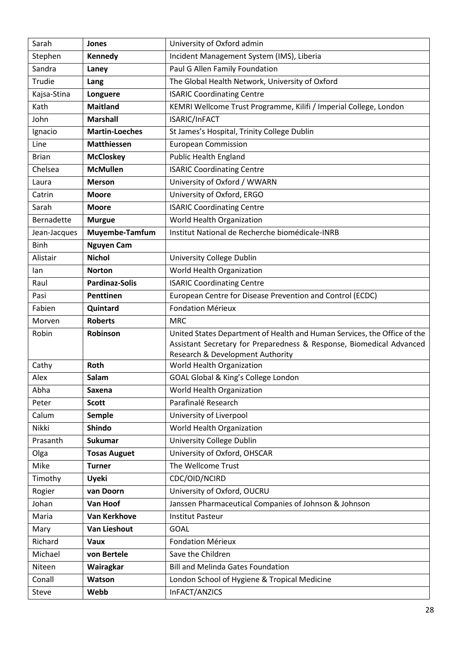| Sarah        | Jones                 | University of Oxford admin                                               |
|--------------|-----------------------|--------------------------------------------------------------------------|
| Stephen      | Kennedy               | Incident Management System (IMS), Liberia                                |
| Sandra       | Laney                 | Paul G Allen Family Foundation                                           |
| Trudie       | Lang                  | The Global Health Network, University of Oxford                          |
| Kajsa-Stina  | Longuere              | <b>ISARIC Coordinating Centre</b>                                        |
| Kath         | <b>Maitland</b>       | KEMRI Wellcome Trust Programme, Kilifi / Imperial College, London        |
| John         | <b>Marshall</b>       | ISARIC/InFACT                                                            |
| Ignacio      | <b>Martin-Loeches</b> | St James's Hospital, Trinity College Dublin                              |
| Line         | <b>Matthiessen</b>    | <b>European Commission</b>                                               |
| <b>Brian</b> | <b>McCloskey</b>      | <b>Public Health England</b>                                             |
| Chelsea      | <b>McMullen</b>       | <b>ISARIC Coordinating Centre</b>                                        |
| Laura        | <b>Merson</b>         | University of Oxford / WWARN                                             |
| Catrin       | <b>Moore</b>          | University of Oxford, ERGO                                               |
| Sarah        | <b>Moore</b>          | <b>ISARIC Coordinating Centre</b>                                        |
| Bernadette   | <b>Murgue</b>         | World Health Organization                                                |
| Jean-Jacques | Muyembe-Tamfum        | Institut National de Recherche biomédicale-INRB                          |
| <b>Binh</b>  | <b>Nguyen Cam</b>     |                                                                          |
| Alistair     | <b>Nichol</b>         | University College Dublin                                                |
| lan          | <b>Norton</b>         | World Health Organization                                                |
| Raul         | <b>Pardinaz-Solis</b> | <b>ISARIC Coordinating Centre</b>                                        |
| Pasi         | Penttinen             | European Centre for Disease Prevention and Control (ECDC)                |
| Fabien       | Quintard              | <b>Fondation Mérieux</b>                                                 |
| Morven       | <b>Roberts</b>        | <b>MRC</b>                                                               |
| Robin        | Robinson              | United States Department of Health and Human Services, the Office of the |
|              |                       | Assistant Secretary for Preparedness & Response, Biomedical Advanced     |
| Cathy        | Roth                  | Research & Development Authority<br>World Health Organization            |
| Alex         | Salam                 | GOAL Global & King's College London                                      |
| Abha         | Saxena                | World Health Organization                                                |
| Peter        | <b>Scott</b>          | Parafinalé Research                                                      |
| Calum        | <b>Semple</b>         | University of Liverpool                                                  |
| Nikki        | <b>Shindo</b>         | World Health Organization                                                |
| Prasanth     | Sukumar               | University College Dublin                                                |
| Olga         | <b>Tosas Auguet</b>   | University of Oxford, OHSCAR                                             |
| Mike         | <b>Turner</b>         | The Wellcome Trust                                                       |
| Timothy      | Uyeki                 | CDC/OID/NCIRD                                                            |
| Rogier       | van Doorn             | University of Oxford, OUCRU                                              |
| Johan        | Van Hoof              | Janssen Pharmaceutical Companies of Johnson & Johnson                    |
| Maria        | <b>Van Kerkhove</b>   | <b>Institut Pasteur</b>                                                  |
| Mary         | <b>Van Lieshout</b>   | <b>GOAL</b>                                                              |
| Richard      | <b>Vaux</b>           | <b>Fondation Mérieux</b>                                                 |
| Michael      | von Bertele           | Save the Children                                                        |
| Niteen       | Wairagkar             | <b>Bill and Melinda Gates Foundation</b>                                 |
| Conall       | Watson                | London School of Hygiene & Tropical Medicine                             |
| Steve        | Webb                  | InFACT/ANZICS                                                            |
|              |                       |                                                                          |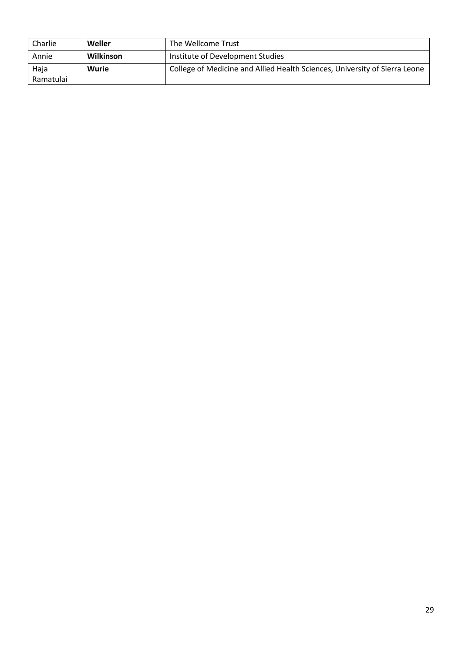| Charlie   | Weller    | The Wellcome Trust                                                         |
|-----------|-----------|----------------------------------------------------------------------------|
| Annie     | Wilkinson | Institute of Development Studies                                           |
| Haja      | Wurie     | College of Medicine and Allied Health Sciences, University of Sierra Leone |
| Ramatulai |           |                                                                            |